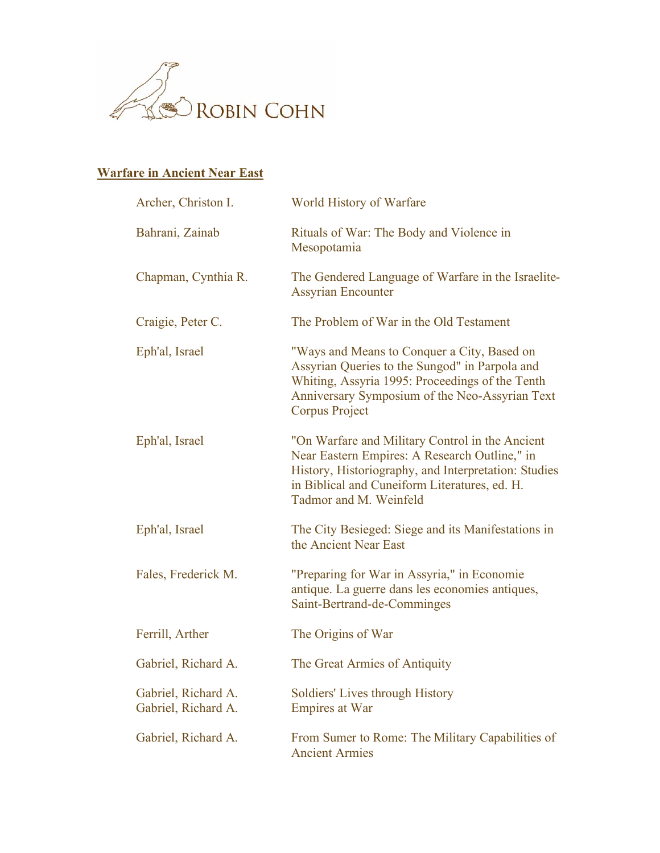

## **Warfare in Ancient Near East**

| Archer, Christon I.                        | World History of Warfare                                                                                                                                                                                                            |
|--------------------------------------------|-------------------------------------------------------------------------------------------------------------------------------------------------------------------------------------------------------------------------------------|
| Bahrani, Zainab                            | Rituals of War: The Body and Violence in<br>Mesopotamia                                                                                                                                                                             |
| Chapman, Cynthia R.                        | The Gendered Language of Warfare in the Israelite-<br><b>Assyrian Encounter</b>                                                                                                                                                     |
| Craigie, Peter C.                          | The Problem of War in the Old Testament                                                                                                                                                                                             |
| Eph'al, Israel                             | "Ways and Means to Conquer a City, Based on<br>Assyrian Queries to the Sungod" in Parpola and<br>Whiting, Assyria 1995: Proceedings of the Tenth<br>Anniversary Symposium of the Neo-Assyrian Text<br>Corpus Project                |
| Eph'al, Israel                             | "On Warfare and Military Control in the Ancient<br>Near Eastern Empires: A Research Outline," in<br>History, Historiography, and Interpretation: Studies<br>in Biblical and Cuneiform Literatures, ed. H.<br>Tadmor and M. Weinfeld |
| Eph'al, Israel                             | The City Besieged: Siege and its Manifestations in<br>the Ancient Near East                                                                                                                                                         |
| Fales, Frederick M.                        | "Preparing for War in Assyria," in Economie<br>antique. La guerre dans les economies antiques,<br>Saint-Bertrand-de-Comminges                                                                                                       |
| Ferrill, Arther                            | The Origins of War                                                                                                                                                                                                                  |
| Gabriel, Richard A.                        | The Great Armies of Antiquity                                                                                                                                                                                                       |
| Gabriel, Richard A.<br>Gabriel, Richard A. | Soldiers' Lives through History<br><b>Empires at War</b>                                                                                                                                                                            |
| Gabriel, Richard A.                        | From Sumer to Rome: The Military Capabilities of<br><b>Ancient Armies</b>                                                                                                                                                           |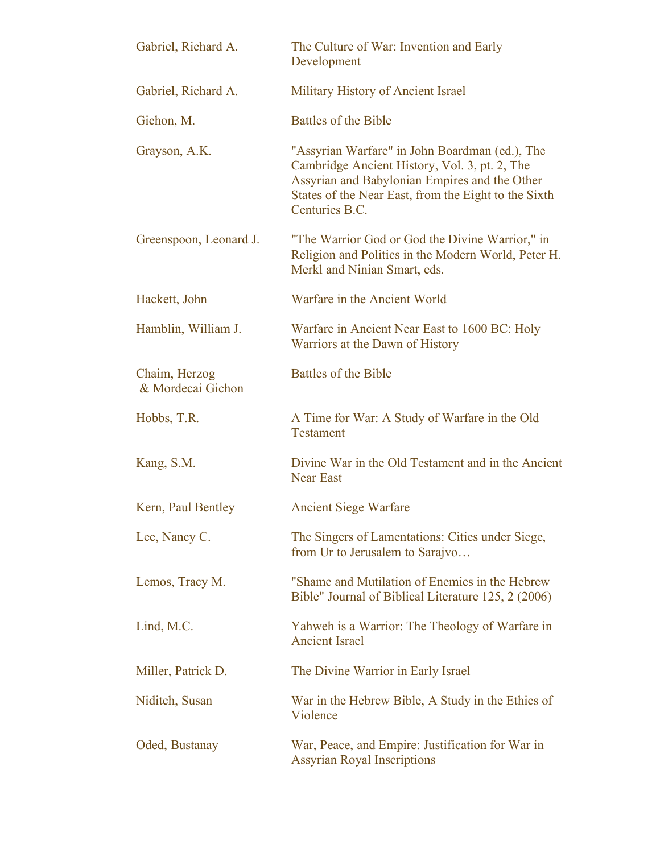| Gabriel, Richard A.                | The Culture of War: Invention and Early<br>Development                                                                                                                                                                     |
|------------------------------------|----------------------------------------------------------------------------------------------------------------------------------------------------------------------------------------------------------------------------|
| Gabriel, Richard A.                | Military History of Ancient Israel                                                                                                                                                                                         |
| Gichon, M.                         | Battles of the Bible                                                                                                                                                                                                       |
| Grayson, A.K.                      | "Assyrian Warfare" in John Boardman (ed.), The<br>Cambridge Ancient History, Vol. 3, pt. 2, The<br>Assyrian and Babylonian Empires and the Other<br>States of the Near East, from the Eight to the Sixth<br>Centuries B.C. |
| Greenspoon, Leonard J.             | "The Warrior God or God the Divine Warrior," in<br>Religion and Politics in the Modern World, Peter H.<br>Merkl and Ninian Smart, eds.                                                                                     |
| Hackett, John                      | Warfare in the Ancient World                                                                                                                                                                                               |
| Hamblin, William J.                | Warfare in Ancient Near East to 1600 BC: Holy<br>Warriors at the Dawn of History                                                                                                                                           |
| Chaim, Herzog<br>& Mordecai Gichon | <b>Battles of the Bible</b>                                                                                                                                                                                                |
| Hobbs, T.R.                        | A Time for War: A Study of Warfare in the Old<br><b>Testament</b>                                                                                                                                                          |
| Kang, S.M.                         | Divine War in the Old Testament and in the Ancient<br><b>Near East</b>                                                                                                                                                     |
| Kern, Paul Bentley                 | <b>Ancient Siege Warfare</b>                                                                                                                                                                                               |
| Lee, Nancy C.                      | The Singers of Lamentations: Cities under Siege,<br>from Ur to Jerusalem to Sarajvo                                                                                                                                        |
| Lemos, Tracy M.                    | "Shame and Mutilation of Enemies in the Hebrew<br>Bible" Journal of Biblical Literature 125, 2 (2006)                                                                                                                      |
| Lind, M.C.                         | Yahweh is a Warrior: The Theology of Warfare in<br><b>Ancient Israel</b>                                                                                                                                                   |
| Miller, Patrick D.                 | The Divine Warrior in Early Israel                                                                                                                                                                                         |
| Niditch, Susan                     | War in the Hebrew Bible, A Study in the Ethics of<br>Violence                                                                                                                                                              |
| Oded, Bustanay                     | War, Peace, and Empire: Justification for War in<br><b>Assyrian Royal Inscriptions</b>                                                                                                                                     |